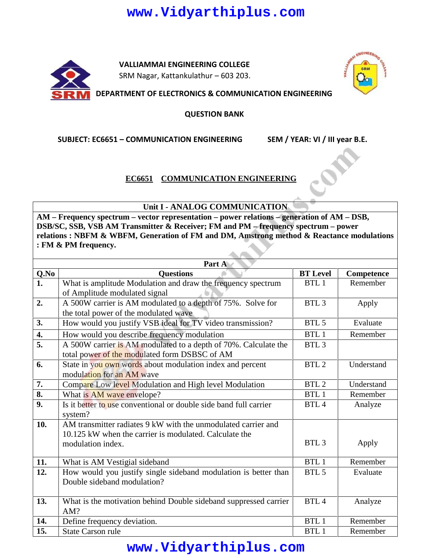

**VALLIAMMAI ENGINEERING COLLEGE** SRM Nagar, Kattankulathur – 603 203.



**DEPARTMENT OF ELECTRONICS & COMMUNICATION ENGINEERING**

**QUESTION BANK**

**SUBJECT: EC6651 – COMMUNICATION ENGINEERING SEM / YEAR: VI / III year B.E.**

#### **EC6651 COMMUNICATION ENGINEERING**

#### **Unit I - ANALOG COMMUNICATION**

**AM – Frequency spectrum – vector representation – power relations – generation of AM – DSB, DSB/SC, SSB, VSB AM Transmitter & Receiver; FM and PM – frequency spectrum – power relations : NBFM & WBFM, Generation of FM and DM, Amstrong method & Reactance modulations : FM & PM frequency.**

| Part A |                                                                              |                  |            |  |
|--------|------------------------------------------------------------------------------|------------------|------------|--|
| Q.No   | <b>Ouestions</b>                                                             | <b>BT</b> Level  | Competence |  |
| 1.     | What is amplitude Modulation and draw the frequency spectrum                 | BTL <sub>1</sub> | Remember   |  |
|        | of Amplitude modulated signal                                                |                  |            |  |
| 2.     | A 500W carrier is AM modulated to a depth of 75%. Solve for                  | BTL <sub>3</sub> | Apply      |  |
|        | the total power of the modulated wave                                        |                  |            |  |
| 3.     | How would you justify VSB ideal for TV video transmission?                   | BTL 5            | Evaluate   |  |
| 4.     | How would you describe frequency modulation                                  | BTL <sub>1</sub> | Remember   |  |
| 5.     | A 500W carrier is AM modulated to a depth of 70%. Calculate the              | BTL <sub>3</sub> |            |  |
|        | total power of the modulated form DSBSC of AM                                |                  |            |  |
| 6.     | State in you own words about modulation index and percent                    | BTL <sub>2</sub> | Understand |  |
|        | modulation for an AM wave                                                    |                  |            |  |
| 7.     | Compare Low level Modulation and High level Modulation                       | BTL <sub>2</sub> | Understand |  |
| 8.     | What is AM wave envelope?                                                    | BTL 1            | Remember   |  |
| 9.     | Is it better to use conventional or double side band full carrier<br>system? | BTL <sub>4</sub> | Analyze    |  |
| 10.    | AM transmitter radiates 9 kW with the unmodulated carrier and                |                  |            |  |
|        | 10.125 kW when the carrier is modulated. Calculate the                       |                  |            |  |
|        | modulation index.                                                            | BTL <sub>3</sub> | Apply      |  |
|        |                                                                              |                  |            |  |
| 11.    | What is AM Vestigial sideband                                                | BTL 1            | Remember   |  |
| 12.    | How would you justify single sideband modulation is better than              | BTL 5            | Evaluate   |  |
|        | Double sideband modulation?                                                  |                  |            |  |
|        |                                                                              |                  |            |  |
| 13.    | What is the motivation behind Double sideband suppressed carrier             | BTL <sub>4</sub> | Analyze    |  |
|        | AM?                                                                          |                  |            |  |
| 14.    | Define frequency deviation.                                                  | BTL 1            | Remember   |  |
| 15.    | <b>State Carson rule</b>                                                     | BTL 1            | Remember   |  |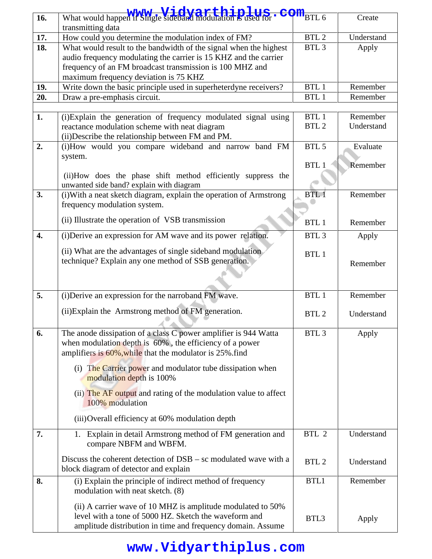|     | What would happen it Single sideband modulation is used for <b>COM</b> BTL 6 |                  |            |
|-----|------------------------------------------------------------------------------|------------------|------------|
| 16. | transmitting data                                                            |                  | Create     |
| 17. | How could you determine the modulation index of FM?                          | BTL <sub>2</sub> | Understand |
| 18. | What would result to the bandwidth of the signal when the highest            | BTL <sub>3</sub> | Apply      |
|     | audio frequency modulating the carrier is 15 KHZ and the carrier             |                  |            |
|     | frequency of an FM broadcast transmission is 100 MHZ and                     |                  |            |
|     | maximum frequency deviation is 75 KHZ                                        |                  |            |
| 19. | Write down the basic principle used in superheterdyne receivers?             | BTL 1            | Remember   |
| 20. | Draw a pre-emphasis circuit.                                                 | BTL 1            | Remember   |
| 1.  | (i) Explain the generation of frequency modulated signal using               | BTL 1            | Remember   |
|     | reactance modulation scheme with neat diagram                                | BTL <sub>2</sub> | Understand |
|     | (ii) Describe the relationship between FM and PM.                            |                  |            |
| 2.  | (i)How would you compare wideband and narrow band FM                         | BTL 5            | Evaluate   |
|     | system.                                                                      |                  |            |
|     |                                                                              | BTL 1            | Remember   |
|     | (ii)How does the phase shift method efficiently suppress the                 |                  |            |
|     | unwanted side band? explain with diagram                                     |                  |            |
| 3.  | (i) With a neat sketch diagram, explain the operation of Armstrong           | BTL 1            | Remember   |
|     | frequency modulation system.                                                 |                  |            |
|     |                                                                              |                  |            |
|     | (ii) Illustrate the operation of VSB transmission                            | BTL 1            | Remember   |
| 4.  | (i) Derive an expression for AM wave and its power relation.                 | BTL <sub>3</sub> | Apply      |
|     |                                                                              |                  |            |
|     | (ii) What are the advantages of single sideband modulation                   | BTL 1            |            |
|     | technique? Explain any one method of SSB generation.                         |                  | Remember   |
|     |                                                                              |                  |            |
|     |                                                                              |                  |            |
| 5.  | (i) Derive an expression for the narroband FM wave.                          | BTL 1            | Remember   |
|     |                                                                              |                  |            |
|     | (ii) Explain the Armstrong method of FM generation.                          | BTL <sub>2</sub> | Understand |
|     |                                                                              |                  |            |
| 6.  | The anode dissipation of a class C power amplifier is 944 Watta              | BTL <sub>3</sub> | Apply      |
|     | when modulation depth is 60%, the efficiency of a power                      |                  |            |
|     | amplifiers is $60\%$ , while that the modulator is 25% find                  |                  |            |
|     | (i) The Carrier power and modulator tube dissipation when                    |                  |            |
|     | modulation depth is 100%                                                     |                  |            |
|     | (ii) The AF output and rating of the modulation value to affect              |                  |            |
|     | 100% modulation                                                              |                  |            |
|     |                                                                              |                  |            |
|     | (iii) Overall efficiency at 60% modulation depth                             |                  |            |
| 7.  | 1. Explain in detail Armstrong method of FM generation and                   | BTL 2            | Understand |
|     | compare NBFM and WBFM.                                                       |                  |            |
|     |                                                                              |                  |            |
|     | Discuss the coherent detection of $DSB - sc$ modulated wave with a           | BTL <sub>2</sub> | Understand |
|     | block diagram of detector and explain                                        |                  |            |
| 8.  | (i) Explain the principle of indirect method of frequency                    | BTL1             | Remember   |
|     | modulation with neat sketch. (8)                                             |                  |            |
|     |                                                                              |                  |            |
|     | (ii) A carrier wave of 10 MHZ is amplitude modulated to 50%                  |                  |            |
|     | level with a tone of 5000 HZ. Sketch the waveform and                        | BTL3             | Apply      |
|     | amplitude distribution in time and frequency domain. Assume                  |                  |            |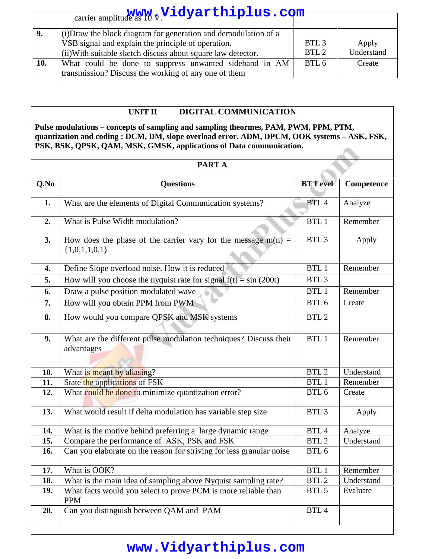|     | carrier amplitude as 10 v Vidyarthiplus.com                     |                  |            |  |  |
|-----|-----------------------------------------------------------------|------------------|------------|--|--|
| 9.  | (i) Draw the block diagram for generation and demodulation of a |                  |            |  |  |
|     | VSB signal and explain the principle of operation.              | BTL <sub>3</sub> | Apply      |  |  |
|     | (ii) With suitable sketch discuss about square law detector.    | BTL <sub>2</sub> | Understand |  |  |
| 10. | What could be done to suppress unwanted sideband in AM          | BTL 6            | Create     |  |  |
|     | transmission? Discuss the working of any one of them            |                  |            |  |  |

#### **UNIT II DIGITAL COMMUNICATION**

**Pulse modulations – concepts of sampling and sampling theormes, PAM, PWM, PPM, PTM, quantization and coding : DCM, DM, slope overload error. ADM, DPCM, OOK systems – ASK, FSK, PSK, BSK, QPSK, QAM, MSK, GMSK, applications of Data communication.**

### **PART A**

| Q.No | <b>Questions</b>                                                                     | <b>BT</b> Level  | <b>Competence</b> |
|------|--------------------------------------------------------------------------------------|------------------|-------------------|
| 1.   | What are the elements of Digital Communication systems?                              | BTL <sub>4</sub> | Analyze           |
| 2.   | What is Pulse Width modulation?                                                      | BTL 1            | Remember          |
| 3.   | How does the phase of the carrier vary for the message $m(n)$ =<br>$\{1,0,1,1,0,1\}$ | BTL <sub>3</sub> | Apply             |
| 4.   | Define Slope overload noise. How it is reduced                                       | BTL 1            | Remember          |
| 5.   | How will you choose the nyquist rate for signal $f(t) = \sin(200t)$                  | BTL <sub>3</sub> |                   |
| 6.   | Draw a pulse position modulated wave                                                 | BTL 1            | Remember          |
| 7.   | How will you obtain PPM from PWM                                                     | BTL 6            | Create            |
| 8.   | How would you compare QPSK and MSK systems                                           | BTL <sub>2</sub> |                   |
| 9.   | What are the different pulse modulation techniques? Discuss their<br>advantages      | BTL 1            | Remember          |
| 10.  | What is meant by aliasing?                                                           | BTL <sub>2</sub> | Understand        |
| 11.  | State the applications of FSK                                                        | BTL 1            | Remember          |
| 12.  | What could be done to minimize quantization error?                                   | BTL 6            | Create            |
| 13.  | What would result if delta modulation has variable step size                         | BTL <sub>3</sub> | Apply             |
| 14.  | What is the motive behind preferring a large dynamic range                           | BTL <sub>4</sub> | Analyze           |
| 15.  | Compare the performance of ASK, PSK and FSK                                          | BTL <sub>2</sub> | Understand        |
| 16.  | Can you elaborate on the reason for striving for less granular noise                 | BTL 6            |                   |
| 17.  | What is OOK?                                                                         | BTL 1            | Remember          |
| 18.  | What is the main idea of sampling above Nyquist sampling rate?                       | BTL <sub>2</sub> | Understand        |
| 19.  | What facts would you select to prove PCM is more reliable than<br><b>PPM</b>         | BTL 5            | Evaluate          |
| 20.  | Can you distinguish between QAM and PAM                                              | BTL <sub>4</sub> |                   |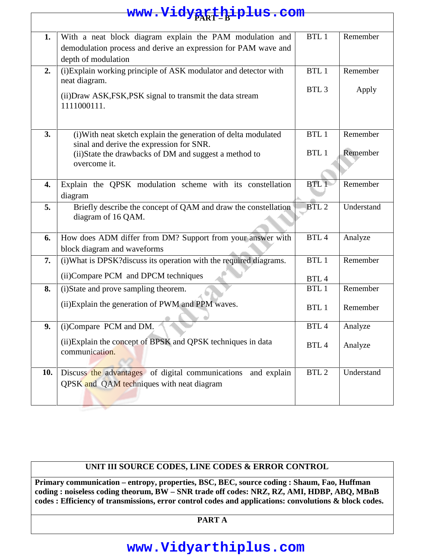|     | www.Vidyarthiplus.com                                                                                                      |                  |            |
|-----|----------------------------------------------------------------------------------------------------------------------------|------------------|------------|
| 1.  | With a neat block diagram explain the PAM modulation and<br>demodulation process and derive an expression for PAM wave and | BTL 1            | Remember   |
|     | depth of modulation                                                                                                        |                  |            |
| 2.  | (i) Explain working principle of ASK modulator and detector with<br>neat diagram.                                          | BTL 1            | Remember   |
|     | (ii) Draw ASK, FSK, PSK signal to transmit the data stream<br>1111000111.                                                  | BTL <sub>3</sub> | Apply      |
| 3.  | (i) With neat sketch explain the generation of delta modulated<br>sinal and derive the expression for SNR.                 | BTL 1            | Remember   |
|     | (ii) State the drawbacks of DM and suggest a method to<br>overcome it.                                                     | BTL 1            | Remember   |
| 4.  | Explain the QPSK modulation scheme with its constellation<br>diagram                                                       | BTL <sub>1</sub> | Remember   |
| 5.  | Briefly describe the concept of QAM and draw the constellation<br>diagram of 16 QAM.                                       | BTL <sub>2</sub> | Understand |
| 6.  | How does ADM differ from DM? Support from your answer with<br>block diagram and waveforms                                  | BTL <sub>4</sub> | Analyze    |
| 7.  | (i) What is DPSK? discuss its operation with the required diagrams.                                                        | BTL 1            | Remember   |
|     | (ii)Compare PCM and DPCM techniques                                                                                        | BTL <sub>4</sub> |            |
| 8.  | (i)State and prove sampling theorem.                                                                                       | BTL <sub>1</sub> | Remember   |
|     | (ii) Explain the generation of PWM and PPM waves.                                                                          | BTL 1            | Remember   |
| 9.  | (i)Compare PCM and DM.                                                                                                     | BTL <sub>4</sub> | Analyze    |
|     | (ii) Explain the concept of BPSK and QPSK techniques in data<br>communication.                                             | BTL <sub>4</sub> | Analyze    |
| 10. | Discuss the advantages of digital communications and explain<br>QPSK and QAM techniques with neat diagram                  | BTL <sub>2</sub> | Understand |

### **UNIT III SOURCE CODES, LINE CODES & ERROR CONTROL**

**Primary communication – entropy, properties, BSC, BEC, source coding : Shaum, Fao, Huffman coding : noiseless coding theorum, BW – SNR trade off codes: NRZ, RZ, AMI, HDBP, ABQ, MBnB codes : Efficiency of transmissions, error control codes and applications: convolutions & block codes.**

**PART A**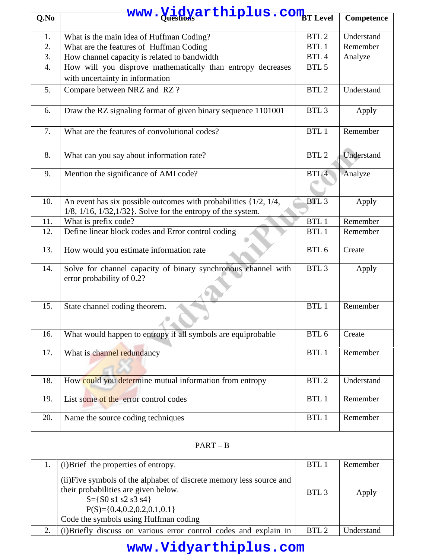| Q.No | www. Hidyarthiplus. com Level                                                                                                                                                    |                  | Competence |
|------|----------------------------------------------------------------------------------------------------------------------------------------------------------------------------------|------------------|------------|
| 1.   | What is the main idea of Huffman Coding? 1                                                                                                                                       | BTL <sub>2</sub> | Understand |
| 2.   | What are the features of Huffman Coding1                                                                                                                                         | BTL 1            | Remember   |
| 3.   | How channel capacity is related to bandwidth 1                                                                                                                                   | BTL <sub>4</sub> | Analyze    |
| 4.   | How will you disprove mathematically than entropy decreases                                                                                                                      | BTL 5            |            |
|      | with uncertainty in information                                                                                                                                                  |                  |            |
| 5.   | Compare between NRZ and RZ?                                                                                                                                                      | BTL <sub>2</sub> | Understand |
| 6.   | Draw the RZ signaling format of given binary sequence 1101001                                                                                                                    | BTL <sub>3</sub> | Apply      |
| 7.   | What are the features of convolutional codes?                                                                                                                                    | BTL 1            | Remember   |
| 8.   | What can you say about information rate?                                                                                                                                         | BTL <sub>2</sub> | Understand |
| 9.   | Mention the significance of AMI code?                                                                                                                                            | BTL <sub>4</sub> | Analyze    |
| 10.  | An event has six possible outcomes with probabilities $\{1/2, 1/4,$<br>1/8, 1/16, 1/32, 1/32}. Solve for the entropy of the system.                                              | BTL <sub>3</sub> | Apply      |
| 11.  | What is prefix code?                                                                                                                                                             | BTL 1            | Remember   |
| 12.  | Define linear block codes and Error control coding                                                                                                                               | BTL 1            | Remember   |
| 13.  | How would you estimate information rate                                                                                                                                          | BTL 6            | Create     |
| 14.  | Solve for channel capacity of binary synchronous channel with<br>error probability of 0.2?                                                                                       | BTL <sub>3</sub> | Apply      |
| 15.  | State channel coding theorem.                                                                                                                                                    | BTL1             | Remember   |
| 16.  | What would happen to entropy if all symbols are equiprobable                                                                                                                     | BTL 6            | Create     |
| 17.  | What is channel redundancy                                                                                                                                                       | BTL 1            | Remember   |
| 18.  | How could you determine mutual information from entropy                                                                                                                          | BTL <sub>2</sub> | Understand |
| 19.  | List some of the error control codes                                                                                                                                             | BTL 1            | Remember   |
| 20.  | Name the source coding techniques                                                                                                                                                | BTL 1            | Remember   |
|      | $PART - B$                                                                                                                                                                       |                  |            |
| 1.   | (i) Brief the properties of entropy.                                                                                                                                             | BTL 1            | Remember   |
|      | (ii) Five symbols of the alphabet of discrete memory less source and<br>their probabilities are given below.<br>$S = \{S0 s1 s2 s3 s4\}$<br>$P(S) = \{0.4, 0.2, 0.2, 0.1, 0.1\}$ | BTL <sub>3</sub> | Apply      |
|      | Code the symbols using Huffman coding                                                                                                                                            |                  |            |
| 2.   | (i)Briefly discuss on various error control codes and explain in                                                                                                                 | BTL <sub>2</sub> | Understand |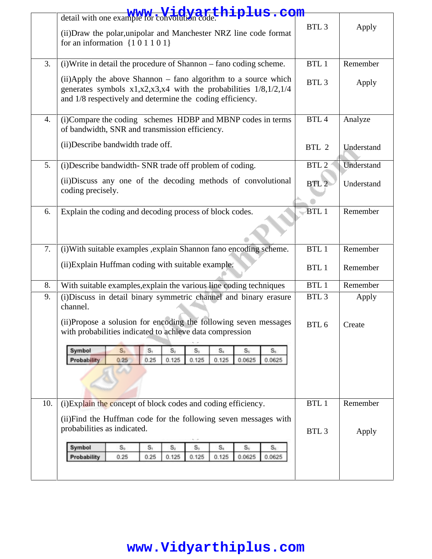| detail with one example for convolution code. hiplus. com-<br>BTL <sub>3</sub><br>(ii) Draw the polar, unipolar and Manchester NRZ line code format<br>for an information ${101101}$<br>BTL 1<br>3.<br>(i) Write in detail the procedure of Shannon – fano coding scheme.<br>(ii)Apply the above Shannon – fano algorithm to a source which<br>BTL <sub>3</sub><br>generates symbols $x1, x2, x3, x4$ with the probabilities $1/8, 1/2, 1/4$<br>and 1/8 respectively and determine the coding efficiency.<br>BTL <sub>4</sub><br>(i)Compare the coding schemes HDBP and MBNP codes in terms<br>Analyze<br>4.<br>of bandwidth, SNR and transmission efficiency.<br>(ii) Describe bandwidth trade off.<br>BTL 2<br>BTL <sub>2</sub><br>5.<br>(i) Describe bandwidth- SNR trade off problem of coding.<br>(ii) Discuss any one of the decoding methods of convolutional<br>BTL <sub>2</sub><br>coding precisely.<br>BTL <sub>1</sub><br>Explain the coding and decoding process of block codes.<br>6.<br>(i) With suitable examples , explain Shannon fano encoding scheme.<br>BTL 1<br>7.<br>(ii) Explain Huffman coding with suitable example.<br>BTL 1<br>With suitable examples, explain the various line coding techniques<br>BTL 1<br>8.<br>(i) Discuss in detail binary symmetric channel and binary erasure<br>BTL <sub>3</sub><br>9.<br>channel.<br>(ii) Propose a solusion for encoding the following seven messages<br>BTL 6<br>Create<br>with probabilities indicated to achieve data compression<br>Symbol<br>S <sub>0</sub><br>$S_1$<br>$S_2$<br>$S_1$<br>$S_4$<br>$S_{5}$<br>$S_{\epsilon}$<br>Probability<br>0.25<br>0.125<br>0.125<br>0.125<br>0.0625<br>0.25<br>0.0625<br>BTL 1<br>(i) Explain the concept of block codes and coding efficiency.<br>10.<br>(ii)Find the Huffman code for the following seven messages with<br>probabilities as indicated.<br>BTL <sub>3</sub><br>Apply<br>Symbol<br>$S_t$<br>$S_{2}$<br>$S_1$<br>$S_4$<br>$S_{5}$<br>$S_0$<br>$S_{\varepsilon}$<br>Probability<br>0.25<br>0.25<br>0.125<br>0.125<br>0.125<br>0.0625<br>0.0625 |  | Apply      |
|------------------------------------------------------------------------------------------------------------------------------------------------------------------------------------------------------------------------------------------------------------------------------------------------------------------------------------------------------------------------------------------------------------------------------------------------------------------------------------------------------------------------------------------------------------------------------------------------------------------------------------------------------------------------------------------------------------------------------------------------------------------------------------------------------------------------------------------------------------------------------------------------------------------------------------------------------------------------------------------------------------------------------------------------------------------------------------------------------------------------------------------------------------------------------------------------------------------------------------------------------------------------------------------------------------------------------------------------------------------------------------------------------------------------------------------------------------------------------------------------------------------------------------------------------------------------------------------------------------------------------------------------------------------------------------------------------------------------------------------------------------------------------------------------------------------------------------------------------------------------------------------------------------------------------------------------------------------------------------------------------------------------------------------------------------------------------|--|------------|
|                                                                                                                                                                                                                                                                                                                                                                                                                                                                                                                                                                                                                                                                                                                                                                                                                                                                                                                                                                                                                                                                                                                                                                                                                                                                                                                                                                                                                                                                                                                                                                                                                                                                                                                                                                                                                                                                                                                                                                                                                                                                              |  |            |
|                                                                                                                                                                                                                                                                                                                                                                                                                                                                                                                                                                                                                                                                                                                                                                                                                                                                                                                                                                                                                                                                                                                                                                                                                                                                                                                                                                                                                                                                                                                                                                                                                                                                                                                                                                                                                                                                                                                                                                                                                                                                              |  | Remember   |
|                                                                                                                                                                                                                                                                                                                                                                                                                                                                                                                                                                                                                                                                                                                                                                                                                                                                                                                                                                                                                                                                                                                                                                                                                                                                                                                                                                                                                                                                                                                                                                                                                                                                                                                                                                                                                                                                                                                                                                                                                                                                              |  | Apply      |
|                                                                                                                                                                                                                                                                                                                                                                                                                                                                                                                                                                                                                                                                                                                                                                                                                                                                                                                                                                                                                                                                                                                                                                                                                                                                                                                                                                                                                                                                                                                                                                                                                                                                                                                                                                                                                                                                                                                                                                                                                                                                              |  |            |
|                                                                                                                                                                                                                                                                                                                                                                                                                                                                                                                                                                                                                                                                                                                                                                                                                                                                                                                                                                                                                                                                                                                                                                                                                                                                                                                                                                                                                                                                                                                                                                                                                                                                                                                                                                                                                                                                                                                                                                                                                                                                              |  | Understand |
|                                                                                                                                                                                                                                                                                                                                                                                                                                                                                                                                                                                                                                                                                                                                                                                                                                                                                                                                                                                                                                                                                                                                                                                                                                                                                                                                                                                                                                                                                                                                                                                                                                                                                                                                                                                                                                                                                                                                                                                                                                                                              |  | Understand |
|                                                                                                                                                                                                                                                                                                                                                                                                                                                                                                                                                                                                                                                                                                                                                                                                                                                                                                                                                                                                                                                                                                                                                                                                                                                                                                                                                                                                                                                                                                                                                                                                                                                                                                                                                                                                                                                                                                                                                                                                                                                                              |  | Understand |
|                                                                                                                                                                                                                                                                                                                                                                                                                                                                                                                                                                                                                                                                                                                                                                                                                                                                                                                                                                                                                                                                                                                                                                                                                                                                                                                                                                                                                                                                                                                                                                                                                                                                                                                                                                                                                                                                                                                                                                                                                                                                              |  | Remember   |
|                                                                                                                                                                                                                                                                                                                                                                                                                                                                                                                                                                                                                                                                                                                                                                                                                                                                                                                                                                                                                                                                                                                                                                                                                                                                                                                                                                                                                                                                                                                                                                                                                                                                                                                                                                                                                                                                                                                                                                                                                                                                              |  | Remember   |
|                                                                                                                                                                                                                                                                                                                                                                                                                                                                                                                                                                                                                                                                                                                                                                                                                                                                                                                                                                                                                                                                                                                                                                                                                                                                                                                                                                                                                                                                                                                                                                                                                                                                                                                                                                                                                                                                                                                                                                                                                                                                              |  | Remember   |
|                                                                                                                                                                                                                                                                                                                                                                                                                                                                                                                                                                                                                                                                                                                                                                                                                                                                                                                                                                                                                                                                                                                                                                                                                                                                                                                                                                                                                                                                                                                                                                                                                                                                                                                                                                                                                                                                                                                                                                                                                                                                              |  | Remember   |
|                                                                                                                                                                                                                                                                                                                                                                                                                                                                                                                                                                                                                                                                                                                                                                                                                                                                                                                                                                                                                                                                                                                                                                                                                                                                                                                                                                                                                                                                                                                                                                                                                                                                                                                                                                                                                                                                                                                                                                                                                                                                              |  | Apply      |
|                                                                                                                                                                                                                                                                                                                                                                                                                                                                                                                                                                                                                                                                                                                                                                                                                                                                                                                                                                                                                                                                                                                                                                                                                                                                                                                                                                                                                                                                                                                                                                                                                                                                                                                                                                                                                                                                                                                                                                                                                                                                              |  |            |
|                                                                                                                                                                                                                                                                                                                                                                                                                                                                                                                                                                                                                                                                                                                                                                                                                                                                                                                                                                                                                                                                                                                                                                                                                                                                                                                                                                                                                                                                                                                                                                                                                                                                                                                                                                                                                                                                                                                                                                                                                                                                              |  |            |
|                                                                                                                                                                                                                                                                                                                                                                                                                                                                                                                                                                                                                                                                                                                                                                                                                                                                                                                                                                                                                                                                                                                                                                                                                                                                                                                                                                                                                                                                                                                                                                                                                                                                                                                                                                                                                                                                                                                                                                                                                                                                              |  |            |
|                                                                                                                                                                                                                                                                                                                                                                                                                                                                                                                                                                                                                                                                                                                                                                                                                                                                                                                                                                                                                                                                                                                                                                                                                                                                                                                                                                                                                                                                                                                                                                                                                                                                                                                                                                                                                                                                                                                                                                                                                                                                              |  | Remember   |
|                                                                                                                                                                                                                                                                                                                                                                                                                                                                                                                                                                                                                                                                                                                                                                                                                                                                                                                                                                                                                                                                                                                                                                                                                                                                                                                                                                                                                                                                                                                                                                                                                                                                                                                                                                                                                                                                                                                                                                                                                                                                              |  |            |
|                                                                                                                                                                                                                                                                                                                                                                                                                                                                                                                                                                                                                                                                                                                                                                                                                                                                                                                                                                                                                                                                                                                                                                                                                                                                                                                                                                                                                                                                                                                                                                                                                                                                                                                                                                                                                                                                                                                                                                                                                                                                              |  |            |
|                                                                                                                                                                                                                                                                                                                                                                                                                                                                                                                                                                                                                                                                                                                                                                                                                                                                                                                                                                                                                                                                                                                                                                                                                                                                                                                                                                                                                                                                                                                                                                                                                                                                                                                                                                                                                                                                                                                                                                                                                                                                              |  |            |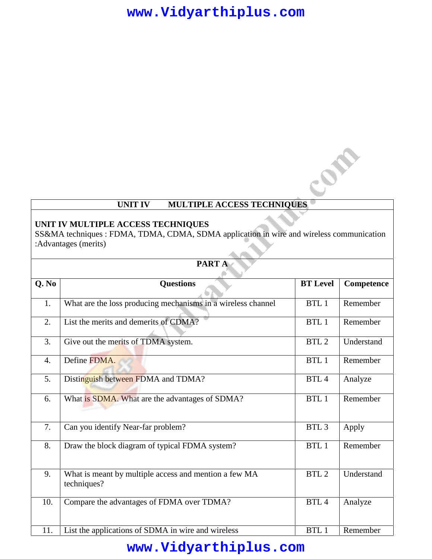### **UNIT IV MULTIPLE ACCESS TECHNIQUES**

COM

#### **UNIT IV MULTIPLE ACCESS TECHNIQUES**

SS&MA techniques : FDMA, TDMA, CDMA, SDMA application in wire and wireless communication :Advantages (merits)

| PART A |                                                                      |                  |            |
|--------|----------------------------------------------------------------------|------------------|------------|
| Q. No  | <b>Questions</b>                                                     | <b>BT</b> Level  | Competence |
| 1.     | What are the loss producing mechanisms in a wireless channel         | BTL 1            | Remember   |
| 2.     | List the merits and demerits of CDMA?                                | BTL 1            | Remember   |
| 3.     | Give out the merits of TDMA system.                                  | BTL <sub>2</sub> | Understand |
| 4.     | Define FDMA.                                                         | BTL 1            | Remember   |
| 5.     | Distinguish between FDMA and TDMA?                                   | BTL <sub>4</sub> | Analyze    |
| 6.     | What is SDMA. What are the advantages of SDMA?                       | BTL 1            | Remember   |
| 7.     | Can you identify Near-far problem?                                   | BTL <sub>3</sub> | Apply      |
| 8.     | Draw the block diagram of typical FDMA system?                       | BTL1             | Remember   |
| 9.     | What is meant by multiple access and mention a few MA<br>techniques? | BTL <sub>2</sub> | Understand |
| 10.    | Compare the advantages of FDMA over TDMA?                            | BTL <sub>4</sub> | Analyze    |
| 11.    | List the applications of SDMA in wire and wireless                   | BTL 1            | Remember   |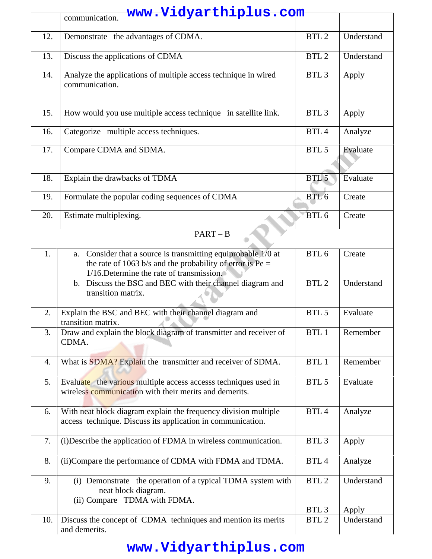|     | www.Vidyarthiplus.com<br>communication.                                                                                                                                      |                  |            |
|-----|------------------------------------------------------------------------------------------------------------------------------------------------------------------------------|------------------|------------|
| 12. | Demonstrate the advantages of CDMA.                                                                                                                                          | BTL <sub>2</sub> | Understand |
| 13. | Discuss the applications of CDMA                                                                                                                                             | BTL <sub>2</sub> | Understand |
| 14. | Analyze the applications of multiple access technique in wired<br>communication.                                                                                             | BTL <sub>3</sub> | Apply      |
| 15. | How would you use multiple access technique in satellite link.                                                                                                               | BTL <sub>3</sub> | Apply      |
| 16. | Categorize multiple access techniques.                                                                                                                                       | BTL <sub>4</sub> | Analyze    |
| 17. | Compare CDMA and SDMA.                                                                                                                                                       | BTL 5            | Evaluate   |
| 18. | Explain the drawbacks of TDMA                                                                                                                                                | BTL 5            | Evaluate   |
| 19. | Formulate the popular coding sequences of CDMA                                                                                                                               | BTL 6            | Create     |
| 20. | Estimate multiplexing.                                                                                                                                                       | BTL 6            | Create     |
|     | $PART - B$                                                                                                                                                                   |                  |            |
| 1.  | Consider that a source is transmitting equiprobable 1/0 at<br>a.<br>the rate of 1063 b/s and the probability of error is $Pe =$<br>1/16. Determine the rate of transmission. | BTL 6            | Create     |
|     | b. Discuss the BSC and BEC with their channel diagram and<br>transition matrix.                                                                                              | BTL <sub>2</sub> | Understand |
| 2.  | Explain the BSC and BEC with their channel diagram and<br>transition matrix.                                                                                                 | BTL 5            | Evaluate   |
| 3.  | Draw and explain the block diagram of transmitter and receiver of<br>CDMA.                                                                                                   | BTL 1            | Remember   |
| 4.  | What is SDMA? Explain the transmitter and receiver of SDMA.                                                                                                                  | BTL 1            | Remember   |
| 5.  | Evaluate the various multiple access accesss techniques used in<br>wireless communication with their merits and demerits.                                                    | BTL 5            | Evaluate   |
| 6.  | With neat block diagram explain the frequency division multiple<br>access technique. Discuss its application in communication.                                               | BTL <sub>4</sub> | Analyze    |
| 7.  | (i) Describe the application of FDMA in wireless communication.                                                                                                              | BTL <sub>3</sub> | Apply      |
| 8.  | (ii)Compare the performance of CDMA with FDMA and TDMA.                                                                                                                      | BTL <sub>4</sub> | Analyze    |
| 9.  | (i) Demonstrate the operation of a typical TDMA system with<br>neat block diagram.                                                                                           | BTL <sub>2</sub> | Understand |
|     | (ii) Compare TDMA with FDMA.                                                                                                                                                 | BTL <sub>3</sub> | Apply      |
| 10. | Discuss the concept of CDMA techniques and mention its merits<br>and demerits.                                                                                               | BTL <sub>2</sub> | Understand |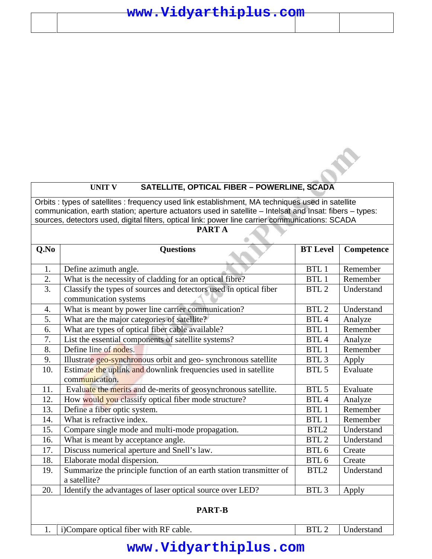### **UNIT V SATELLITE, OPTICAL FIBER – POWERLINE, SCADA**

Orbits : types of satellites : frequency used link establishment, MA techniques used in satellite communication, earth station; aperture actuators used in satellite – Intelsat and Insat: fibers – types: sources, detectors used, digital filters, optical link: power line carrier communications: SCADA **PART A**

| Q.No     | <b>Questions</b>                                                                    | <b>BT</b> Level  | Competence |
|----------|-------------------------------------------------------------------------------------|------------------|------------|
| 1.       | Define azimuth angle.                                                               | BTL 1            | Remember   |
| 2.       | What is the necessity of cladding for an optical fibre?                             | BTL 1            | Remember   |
| 3.       | Classify the types of sources and detectors used in optical fiber                   | BTL <sub>2</sub> | Understand |
|          | communication systems                                                               | BTL <sub>2</sub> | Understand |
| 4.<br>5. | What is meant by power line carrier communication?                                  | BTL <sub>4</sub> |            |
|          | What are the major categories of satellite?                                         |                  | Analyze    |
| 6.       | What are types of optical fiber cable available?                                    | BTL 1            | Remember   |
| 7.       | List the essential components of satellite systems?                                 | BTL <sub>4</sub> | Analyze    |
| 8.       | Define line of nodes.                                                               | BTL 1            | Remember   |
| 9.       | Illustrate geo-synchronous orbit and geo-synchronous satellite                      | BTL <sub>3</sub> | Apply      |
| 10.      | Estimate the uplink and downlink frequencies used in satellite<br>communication.    | BTL 5            | Evaluate   |
| 11.      | Evaluate the merits and de-merits of geosynchronous satellite.                      | BTL 5            | Evaluate   |
| 12.      | How would you classify optical fiber mode structure?                                | BTL <sub>4</sub> | Analyze    |
| 13.      | Define a fiber optic system.                                                        | BTL 1            | Remember   |
| 14.      | What is refractive index.                                                           | BTL 1            | Remember   |
| 15.      | Compare single mode and multi-mode propagation.                                     | BTL2             | Understand |
| 16.      | What is meant by acceptance angle.                                                  | BTL <sub>2</sub> | Understand |
| 17.      | Discuss numerical aperture and Snell's law.                                         | BTL 6            | Create     |
| 18.      | Elaborate modal dispersion.                                                         | BTL 6            | Create     |
| 19.      | Summarize the principle function of an earth station transmitter of<br>a satellite? | BTL2             | Understand |
| 20.      | Identify the advantages of laser optical source over LED?                           | BTL <sub>3</sub> | Apply      |
|          | <b>PART-B</b>                                                                       |                  |            |
| 1.       | i)Compare optical fiber with RF cable.                                              | BTL <sub>2</sub> | Understand |